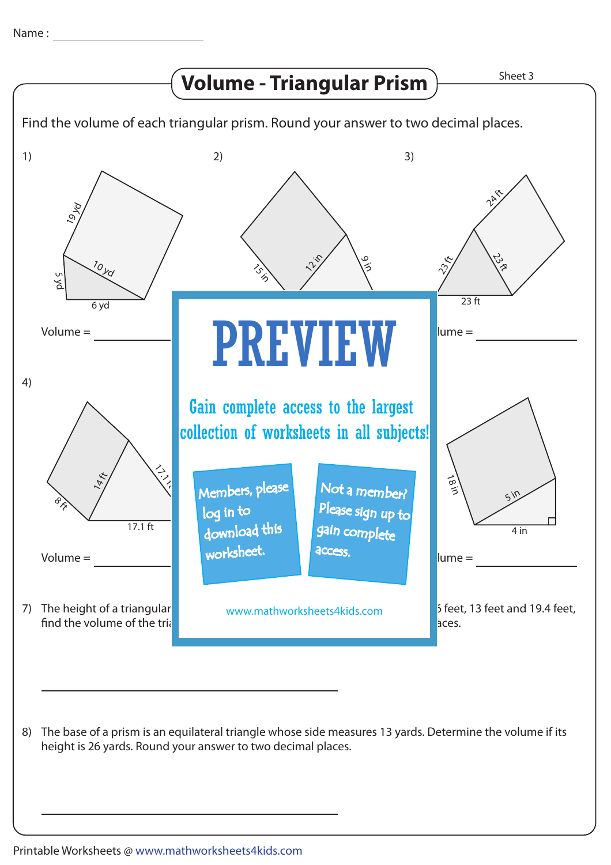